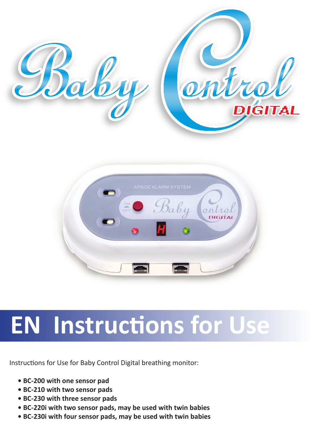

# **EN Instructions for Use**

Instructions for Use for Baby Control Digital breathing monitor:

- **BC-200 with one sensor pad**
- **BC-210 with two sensor pads**
- **BC-230 with three sensor pads**
- **BC-220i with two sensor pads, may be used with twin babies**
- **BC-230i with four sensor pads, may be used with twin babies**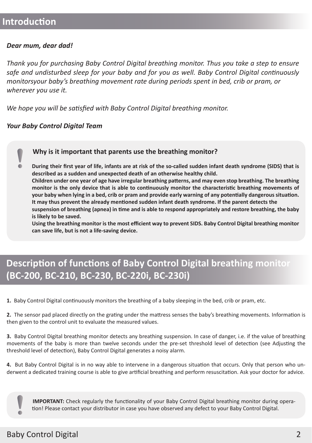### **Introduction**

ò.

#### *Dear mum, dear dad!*

*Thank you for purchasing Baby Control Digital breathing monitor. Thus you take a step to ensure safe and undisturbed sleep for your baby and for you as well. Baby Control Digital continuously monitorsyour baby's breathing movement rate during periods spent in bed, crib or pram, or wherever you use it.* 

*We hope you will be satisfied with Baby Control Digital breathing monitor.*

#### *Your Baby Control Digital Team*

#### **Why is it important that parents use the breathing monitor?**

**During their first year of life, infants are at risk of the so-called sudden infant death syndrome (SIDS) that is described as a sudden and unexpected death of an otherwise healthy child.**

**Children under one year of age have irregular breathing patterns, and may even stop breathing. The breathing monitor is the only device that is able to continuously monitor the characteristic breathing movements of your baby when lying in a bed, crib or pram and provide early warning of any potentially dangerous situation. It may thus prevent the already mentioned sudden infant death syndrome. If the parent detects the** 

**suspension of breathing (apnea) in time and is able to respond appropriately and restore breathing, the baby is likely to be saved.** 

**Using the breathing monitor is the most efficient way to prevent SIDS. Baby Control Digital breathing monitor can save life, but is not a life-saving device.** 

### **Description of functions of Baby Control Digital breathing monitor (BC-200, BC-210, BC-230, BC-220i, BC-230i)**

**1.** Baby Control Digital continuously monitors the breathing of a baby sleeping in the bed, crib or pram, etc.

**2.** The sensor pad placed directly on the grating under the mattress senses the baby's breathing movements. Information is then given to the control unit to evaluate the measured values.

**3.** Baby Control Digital breathing monitor detects any breathing suspension. In case of danger, i.e. if the value of breathing movements of the baby is more than twelve seconds under the pre-set threshold level of detection (see Adjusting the threshold level of detection), Baby Control Digital generates a noisy alarm.

**4.** But Baby Control Digital is in no way able to intervene in a dangerous situation that occurs. Only that person who underwent a dedicated training course is able to give artificial breathing and perform resuscitation. Ask your doctor for advice.

**IMPORTANT:** Check regularly the functionality of your Baby Control Digital breathing monitor during operation! Please contact your distributor in case you have observed any defect to your Baby Control Digital.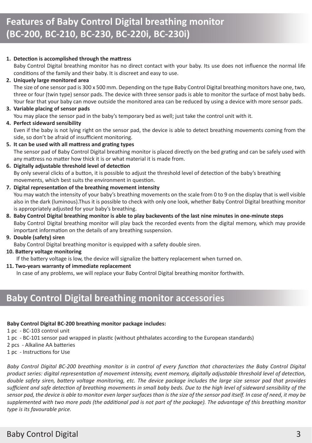#### **1. Detection is accomplished through the mattress**

Baby Control Digital breathing monitor has no direct contact with your baby. Its use does not influence the normal life conditions of the family and their baby. It is discreet and easy to use.

#### **2. Uniquely large monitored area**

The size of one sensor pad is 300 x 500 mm. Depending on the type Baby Control Digital breathing monitors have one, two, three or four (twin type) sensor pads. The device with three sensor pads is able to monitor the surface of most baby beds. Your fear that your baby can move outside the monitored area can be reduced by using a device with more sensor pads.

#### **3. Variable placing of sensor pads**

You may place the sensor pad in the baby's temporary bed as well; just take the control unit with it.

#### **4. Perfect sideward sensibility**

Even if the baby is not lying right on the sensor pad, the device is able to detect breathing movements coming from the side, so don't be afraid of insufficient monitoring.

- **5. It can be used with all mattress and grating types** The sensor pad of Baby Control Digital breathing monitor is placed directly on the bed grating and can be safely used with any mattress no matter how thick it is or what material it is made from.
- **6. Digitally adjustable threshold level of detection** By only several clicks of a button, it is possible to adjust the threshold level of detection of the baby's breathing movements, which best suits the environment in question.
- **7. Digital representation of the breathing movement intensity** You may watch the intensity of your baby's breathing movements on the scale from 0 to 9 on the display that is well visible also in the dark (luminous).Thus it is possible to check with only one look, whether Baby Control Digital breathing monitor is appropriately adjusted for your baby's breathing.
- **8. Baby Control Digital breathing monitor is able to play backevents of the last nine minutes in one-minute steps**  Baby Control Digital breathing monitor will play back the recorded events from the digital memory, which may provide important information on the details of any breathing suspension.

#### **9. Double (safety) siren**

Baby Control Digital breathing monitor is equipped with a safety double siren.

#### **10. Battery voltage monitoring**

If the battery voltage is low, the device will signalize the battery replacement when turned on.

#### **11. Two-years warranty of immediate replacement**

In case of any problems, we will replace your Baby Control Digital breathing monitor forthwith.

### **Baby Control Digital breathing monitor accessories**

#### **Baby Control Digital BC-200 breathing monitor package includes:**

1 pc - BC-103 control unit

- 1 pc BC-101 sensor pad wrapped in plastic (without phthalates according to the European standards)
- 2 pcs Alkaline AA batteries
- 1 pc Instructions for Use

*Baby Control Digital BC-200 breathing monitor is in control of every function that characterizes the Baby Control Digital product series: digital representation of movement intensity, event memory, digitally adjustable threshold level of detection, double safety siren, battery voltage monitoring, etc. The device package includes the large size sensor pad that provides sufficient and safe detection of breathing movements in small baby beds. Due to the high level of sideward sensibility of the sensor pad, the device is able to monitor even larger surfaces than is the size of the sensor pad itself. In case of need, it may be supplemented with two more pads (the additional pad is not part of the package). The advantage of this breathing monitor type is its favourable price.*

### Baby Control Digital 3 and 3 and 3 and 3 and 3 and 3 and 3 and 3 and 3 and 3 and 3 and 3 and 3 and 3 and 3 and 3 and 3 and 3 and 3 and 3 and 3 and 3 and 3 and 3 and 3 and 3 and 3 and 3 and 3 and 3 and 3 and 3 and 3 and 3 a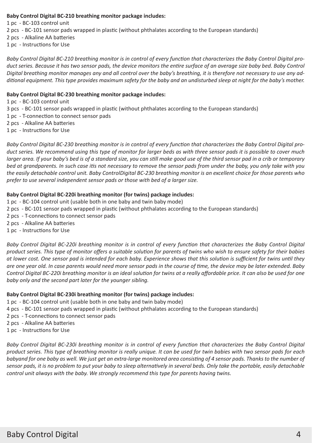#### **Baby Control Digital BC-210 breathing monitor package includes:**

1 pc - BC-103 control unit

- 2 pcs BC-101 sensor pads wrapped in plastic (without phthalates according to the European standards)
- 2 pcs Alkaline AA batteries
- 1 pc Instructions for Use

*Baby Control Digital BC-210 breathing monitor is in control of every function that characterizes the Baby Control Digital product series. Because it has two sensor pads, the device monitors the entire surface of an average size baby bed. Baby Control Digital breathing monitor manages any and all control over the baby's breathing, it is therefore not necessary to use any additional equipment. This type provides maximum safety for the baby and an undisturbed sleep at night for the baby's mother.*

#### **Baby Control Digital BC-230 breathing monitor package includes:**

- 1 pc BC-103 control unit
- 3 pcs BC-101 sensor pads wrapped in plastic (without phthalates according to the European standards)
- 1 pc T-connection to connect sensor pads
- 2 pcs Alkaline AA batteries
- 1 pc Instructions for Use

*Baby Control Digital BC-230 breathing monitor is in control of every function that characterizes the Baby Control Digital product series. We recommend using this type of monitor for larger beds as with three sensor pads it is possible to cover much larger area. If your baby's bed is of a standard size, you can still make good use of the third sensor pad in a crib or temporary bed at grandparents. In such case itis not necessary to remove the sensor pads from under the baby, you only take with you the easily detachable control unit. Baby ControlDigital BC-230 breathing monitor is an excellent choice for those parents who prefer to use several independent sensor pads or those with bed of a larger size.*

#### **Baby Control Digital BC-220i breathing monitor (for twins) package includes:**

- 1 pc BC-104 control unit (usable both in one baby and twin baby mode)
- 2 pcs BC-101 sensor pads wrapped in plastic (without phthalates according to the European standards)
- 2 pcs T-connections to connect sensor pads
- 2 pcs Alkaline AA batteries
- 1 pc Instructions for Use

*Baby Control Digital BC-220i breathing monitor is in control of every function that characterizes the Baby Control Digital product series. This type of monitor offers a suitable solution for parents of twins who wish to ensure safety for their babies at lower cost. One sensor pad is intended for each baby. Experience shows that this solution is sufficient for twins until they are one year old. In case parents would need more sensor pads in the course of time, the device may be later extended. Baby Control Digital BC-220i breathing monitor is an ideal solution for twins at a really affordable price. It can also be used for one baby only and the second part later for the younger sibling.*

#### **Baby Control Digital BC-230i breathing monitor (for twins) package includes:**

- 1 pc BC-104 control unit (usable both in one baby and twin baby mode)
- 4 pcs BC-101 sensor pads wrapped in plastic (without phthalates according to the European standards)
- 2 pcs T-connections to connect sensor pads
- 2 pcs Alkaline AA batteries
- 1 pc Instructions for Use

*Baby Control Digital BC-230i breathing monitor is in control of every function that characterizes the Baby Control Digital product series. This type of breathing monitor is really unique. It can be used for twin babies with two sensor pads for each babyand for one baby as well. We just get an extra-large monitored area consisting of 4 sensor pads. Thanks to the number of sensor pads, it is no problem to put your baby to sleep alternatively in several beds. Only take the portable, easily detachable control unit always with the baby. We strongly recommend this type for parents having twins.*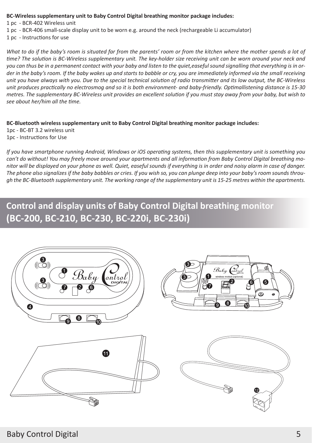#### **BC-Wireless supplementary unit to Baby Control Digital breathing monitor package includes:**

1 pc - BCR-402 Wireless unit

1 pc - BCR-406 small-scale display unit to be worn e.g. around the neck (rechargeable Li accumulator)

1 pc - Instructions for use

*What to do if the baby's room is situated far from the parents' room or from the kitchen where the mother spends a lot of time? The solution is BC-Wireless supplementary unit. The key-holder size receiving unit can be worn around your neck and you can thus be in a permanent contact with your baby and listen to the quiet,easeful sound signalling that everything is in order in the baby's room. If the baby wakes up and starts to babble or cry, you are immediately informed via the small receiving unit you have always with you. Due to the special technical solution of radio transmitter and its low output, the BC-Wireless unit produces practically no electrosmog and so it is both environment- and baby-friendly. Optimallistening distance is 15-30 metres. The supplementary BC-Wireless unit provides an excellent solution if you must stay away from your baby, but wish to see about her/him all the time.* 

#### **BC-Bluetooth wireless supplementary unit to Baby Control Digital breathing monitor package includes:**

1pc - BC-BT 3.2 wireless unit 1pc - Instructions for Use

*If you have smartphone running Android, Windows or iOS operating systems, then this supplementary unit is something you can't do without! You may freely move around your apartments and all information from Baby Control Digital breathing monitor will be displayed on your phone as well. Quiet, easeful sounds if everything is in order and noisy alarm in case of danger. The phone also signalizes if the baby babbles or cries. If you wish so, you can plunge deep into your baby's room sounds through the BC-Bluetooth supplementary unit. The working range of the supplementary unit is 15-25 metres within the apartments.* 

### **Control and display units of Baby Control Digital breathing monitor (BC-200, BC-210, BC-230, BC-220i, BC-230i)**







![](_page_4_Picture_12.jpeg)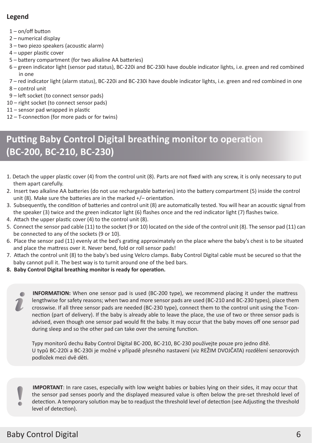#### **Legend**

- 1 on/off button
- 2 numerical display
- 3 two piezo speakers (acoustic alarm)
- 4 upper plastic cover
- 5 battery compartment (for two alkaline AA batteries)
- 6 green indicator light (sensor pad status), BC-220i and BC-230i have double indicator lights, i.e. green and red combined in one
- 7 red indicator light (alarm status), BC-220i and BC-230i have double indicator lights, i.e. green and red combined in one
- 8 control unit
- 9 left socket (to connect sensor pads)
- 10 right socket (to connect sensor pads)
- 11 sensor pad wrapped in plastic
- 12 T-connection (for more pads or for twins)

### **Putting Baby Control Digital breathing monitor to operation (BC-200, BC-210, BC-230)**

- 1. Detach the upper plastic cover (4) from the control unit (8). Parts are not fixed with any screw, it is only necessary to put them apart carefully.
- 2. Insert two alkaline AA batteries (do not use rechargeable batteries) into the battery compartment (5) inside the control unit (8). Make sure the batteries are in the marked +/– orientation.
- 3. Subsequently, the condition of batteries and control unit (8) are automatically tested. You will hear an acoustic signal from the speaker (3) twice and the green indicator light (6) flashes once and the red indicator light (7) flashes twice.
- 4. Attach the upper plastic cover (4) to the control unit (8).
- 5. Connect the sensor pad cable (11) to the socket (9 or 10) located on the side of the control unit (8). The sensor pad (11) can be connected to any of the sockets (9 or 10).
- 6. Place the sensor pad (11) evenly at the bed's grating approximately on the place where the baby's chest is to be situated and place the mattress over it. Never bend, fold or roll sensor pads!
- 7. Attach the control unit (8) to the baby's bed using Velcro clamps. Baby Control Digital cable must be secured so that the baby cannot pull it. The best way is to turnit around one of the bed bars.
- **8. Baby Control Digital breathing monitor is ready for operation.**

**INFORMATION:** When one sensor pad is used (BC-200 type), we recommend placing it under the mattress lengthwise for safety reasons; when two and more sensor pads are used (BC-210 and BC-230 types), place them crosswise. If all three sensor pads are needed (BC-230 type), connect them to the control unit using the T-connection (part of delivery). If the baby is already able to leave the place, the use of two or three sensor pads is advised, even though one sensor pad would fit the baby. It may occur that the baby moves off one sensor pad during sleep and so the other pad can take over the sensing function.

Typy monitorů dechu Baby Control Digital BC-200, BC-210, BC-230 používejte pouze pro jedno dítě. U typů BC-220i a BC-230i je možné v případě přesného nastavení (viz REŽIM DVOJČATA) rozdělení senzorových podložek mezi dvě děti.

**IMPORTANT**: In rare cases, especially with low weight babies or babies lying on their sides, it may occur that the sensor pad senses poorly and the displayed measured value is often below the pre-set threshold level of detection. A temporary solution may be to readjust the threshold level of detection (see Adjusting the threshold level of detection).

### Baby Control Digital 6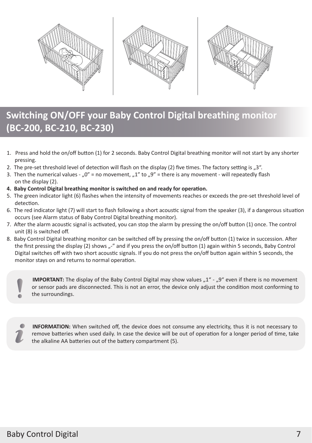![](_page_6_Picture_0.jpeg)

# **Switching ON/OFF your Baby Control Digital breathing monitor (BC-200, BC-210, BC-230)**

- 1. Press and hold the on/off button (1) for 2 seconds. Baby Control Digital breathing monitor will not start by any shorter pressing.
- 2. The pre-set threshold level of detection will flash on the display (2) five times. The factory setting is  $n3$ ".
- 3. Then the numerical values  $n^{0}$  = no movement,  $n^{1}$  to  $n^{9}$  = there is any movement will repeatedly flash on the display (2).
- **4. Baby Control Digital breathing monitor is switched on and ready for operation.**
- 5. The green indicator light (6) flashes when the intensity of movements reaches or exceeds the pre-set threshold level of detection.
- 6. The red indicator light (7) will start to flash following a short acoustic signal from the speaker (3), if a dangerous situation occurs (see Alarm status of Baby Control Digital breathing monitor).
- 7. After the alarm acoustic signal is activated, you can stop the alarm by pressing the on/off button (1) once. The control unit (8) is switched off.
- 8. Baby Control Digital breathing monitor can be switched off by pressing the on/off button (1) twice in succession. After the first pressing the display (2) shows  $\mu$ -" and if you press the on/off button (1) again within 5 seconds, Baby Control Digital switches off with two short acoustic signals. If you do not press the on/off button again within 5 seconds, the monitor stays on and returns to normal operation.

**IMPORTANT:** The display of the Baby Control Digital may show values "1" - "9" even if there is no movement or sensor pads are disconnected. This is not an error, the device only adjust the condition most conforming to the surroundings.

![](_page_6_Picture_11.jpeg)

**INFORMATION:** When switched off, the device does not consume any electricity, thus it is not necessary to remove batteries when used daily. In case the device will be out of operation for a longer period of time, take the alkaline AA batteries out of the battery compartment (5).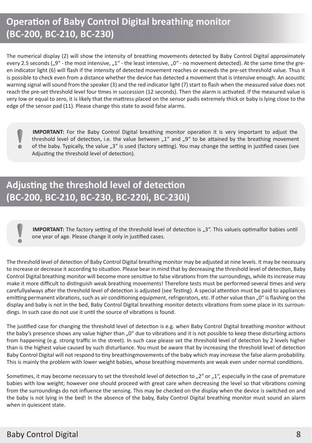# **Operation of Baby Control Digital breathing monitor (BC-200, BC-210, BC-230)**

The numerical display (2) will show the intensity of breathing movements detected by Baby Control Digital approximately every 2.5 seconds  $(0.9^{\circ}$  - the most intensive,  $.1^{\circ}$  - the least intensive,  $.0^{\circ}$  - no movement detected). At the same time the green indicator light (6) will flash if the intensity of detected movement reaches or exceeds the pre-set threshold value. Thus it is possible to check even from a distance whether the device has detected a movement that is intensive enough. An acoustic warning signal will sound from the speaker (3) and the red indicator light (7) start to flash when the measured value does not reach the pre-set threshold level four times in succession (12 seconds). Then the alarm is activated. If the measured value is very low or equal to zero, it is likely that the mattress placed on the sensor padis extremely thick or baby is lying close to the edge of the sensor pad (11). Please change this state to avoid false alarms.

**IMPORTANT:** For the Baby Control Digital breathing monitor operation it is very important to adjust the threshold level of detection, i.e. the value between  $.1$ " and  $.9$ " to be attained by the breathing movement of the baby. Typically, the value "3" is used (factory setting). You may change the setting in justified cases (see Adjusting the threshold level of detection).

# **Adjusting the threshold level of detection (BC-200, BC-210, BC-230, BC-220i, BC-230i)**

**IMPORTANT:** The factory setting of the threshold level of detection is "3". This valueis optimalfor babies until one year of age. Please change it only in justified cases.

The threshold level of detection of Baby Control Digital breathing monitor may be adjusted at nine levels. It may be necessary to increase or decrease it according to situation. Please bear in mind that by decreasing the threshold level of detection, Baby Control Digital breathing monitor will become more sensitive to false vibrations from the surroundings, while its increase may make it more difficult to distinguish weak breathing movements! Therefore tests must be performed several times and very carefullyalways after the threshold level of detection is adjusted (see Testing). A special attention must be paid to appliances emitting permanent vibrations, such as air conditioning equipment, refrigerators, etc. If other value than "0" is flashing on the display and baby is not in the bed, Baby Control Digital breathing monitor detects vibrations from some place in its surroundings. In such case do not use it until the source of vibrations is found.

The justified case for changing the threshold level of detection is e.g. when Baby Control Digital breathing monitor without the baby's presence shows any value higher than "0" due to vibrations and it is not possible to keep these disturbing actions from happening (e.g. strong traffic in the street). In such case please set the threshold level of detection by 2 levels higher than is the highest value caused by such disturbance. You must be aware that by increasing the threshold level of detection Baby Control Digital will not respond to tiny breathingmovements of the baby which may increase the false alarm probability. This is mainly the problem with lower weight babies, whose breathing movements are weak even under normal conditions.

Sometimes, it may become necessary to set the threshold level of detection to  $n^2$  or  $n^2$ , especially in the case of premature babies with low weight; however one should proceed with great care when decreasing the level so that vibrations coming from the surroundings do not influence the sensing. This may be checked on the display when the device is switched on and the baby is not lying in the bed! In the absence of the baby, Baby Control Digital breathing monitor must sound an alarm when in quiescent state.

 $\blacksquare$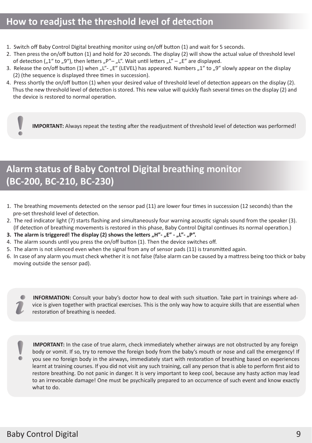### **How to readjust the threshold level of detection**

- 1. Switch off Baby Control Digital breathing monitor using on/off button (1) and wait for 5 seconds.
- 2. Then press the on/off button (1) and hold for 20 seconds. The display (2) will show the actual value of threshold level of detection ( $n^2$  to  $n^9$ ), then letters  $n^2 - n^2$ . Wait until letters  $n^2 - n^2$  are displayed.
- 3. Release the on/off button (1) when  $L'' L'''$  (LEVEL) has appeared. Numbers  $L''$  to  $L''$  slowly appear on the display (2) (the sequence is displayed three times in succession).
- 4. Press shortly the on/off button (1) when your desired value of threshold level of detection appears on the display (2). Thus the new threshold level of detection is stored. This new value will quickly flash several times on the display (2) and the device is restored to normal operation.

**IMPORTANT:** Always repeat the testing after the readjustment of threshold level of detection was performed!

# **Alarm status of Baby Control Digital breathing monitor (BC-200, BC-210, BC-230)**

- 1. The breathing movements detected on the sensor pad (11) are lower four times in succession (12 seconds) than the pre-set threshold level of detection.
- 2. The red indicator light (7) starts flashing and simultaneously four warning acoustic signals sound from the speaker (3). (If detection of breathing movements is restored in this phase, Baby Control Digital continues its normal operation.)
- 3. The alarm is triggered! The display (2) shows the letters ..H"- ..E" ..L"- ..P".
- 4. The alarm sounds until you press the on/off button (1). Then the device switches off.
- 5. The alarm is not silenced even when the signal from any of sensor pads (11) is transmitted again.
- 6. In case of any alarm you must check whether it is not false (false alarm can be caused by a mattress being too thick or baby moving outside the sensor pad).

**INFORMATION:** Consult your baby's doctor how to deal with such situation. Take part in trainings where advice is given together with practical exercises. This is the only way how to acquire skills that are essential when restoration of breathing is needed.

![](_page_8_Picture_14.jpeg)

 $\blacksquare$ 

**IMPORTANT:** In the case of true alarm, check immediately whether airways are not obstructed by any foreign body or vomit. If so, try to remove the foreign body from the baby's mouth or nose and call the emergency! If you see no foreign body in the airways, immediately start with restoration of breathing based on experiences learnt at training courses. If you did not visit any such training, call any person that is able to perform first aid to restore breathing. Do not panic in danger. It is very important to keep cool, because any hasty action may lead to an irrevocable damage! One must be psychically prepared to an occurrence of such event and know exactly what to do.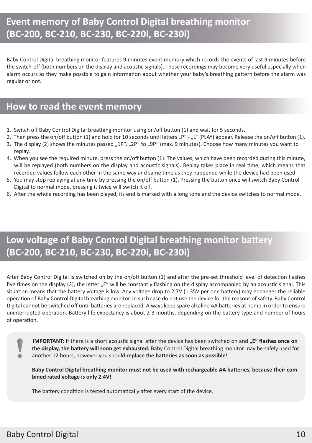### **Event memory of Baby Control Digital breathing monitor (BC-200, BC-210, BC-230, BC-220i, BC-230i)**

Baby Control Digital breathing monitor features 9 minutes event memory which records the events of last 9 minutes before the switch-off (both numbers on the display and acoustic signals). These recordings may become very useful especially when alarm occurs as they make possible to gain information about whether your baby's breathing pattern before the alarm was regular or not.

### **How to read the event memory**

- 1. Switch off Baby Control Digital breathing monitor using on/off button (1) and wait for 5 seconds.
- 2. Then press the on/off button (1) and hold for 10 seconds until letters  $P''$   $L''$  (PLAY) appear. Release the on/off button (1).
- 3. The display (2) shows the minutes passed "1P", "2P" to "9P" (max. 9 minutes). Choose how many minutes you want to replay.
- 4. When you see the required minute, press the on/off button (1). The values, which have been recorded during this minute, will be replayed (both numbers on the display and acoustic signals). Replay takes place in real time, which means that recorded values follow each other in the same way and same time as they happened while the device had been used.
- 5. You may stop replaying at any time by pressing the on/off button (1). Pressing the button once will switch Baby Control Digital to normal mode, pressing it twice will switch it off.
- 6. After the whole recording has been played, its end is marked with a long tone and the device switches to normal mode.

### **Low voltage of Baby Control Digital breathing monitor battery (BC-200, BC-210, BC-230, BC-220i, BC-230i)**

After Baby Control Digital is switched on by the on/off button (1) and after the pre-set threshold level of detection flashes five times on the display (2), the letter "E" will be constantly flashing on the display accompanied by an acoustic signal. This situation means that the battery voltage is low. Any voltage drop to 2.7V (1.35V per one battery) may endanger the reliable operation of Baby Control Digital breathing monitor. In such case do not use the device for the reasons of safety. Baby Control Digital cannot be switched off until batteries are replaced. Always keep spare alkaline AA batteries at home in order to ensure uninterrupted operation. Battery life expectancy is about 2-3 months, depending on the battery type and number of hours of operation.

**IMPORTANT:** If there is a short acoustic signal after the device has been switched on and "E" flashes once on **the display, the battery will soon get exhausted.** Baby Control Digital breathing monitor may be safely used for another 12 hours, however you should **replace the batteries as soon as possible**!

**Baby Control Digital breathing monitor must not be used with rechargeable AA batteries, because their combined rated voltage is only 2.4V!**

The battery condition is tested automatically after every start of the device.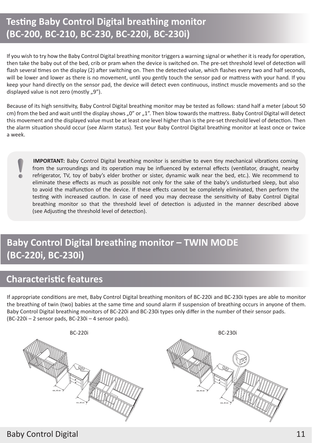## **Testing Baby Control Digital breathing monitor (BC-200, BC-210, BC-230, BC-220i, BC-230i)**

If you wish to try how the Baby Control Digital breathing monitor triggers a warning signal or whether it is ready for operation, then take the baby out of the bed, crib or pram when the device is switched on. The pre-set threshold level of detection will flash several times on the display (2) after switching on. Then the detected value, which flashes every two and half seconds, will be lower and lower as there is no movement, until you gently touch the sensor pad or mattress with your hand. If you keep your hand directly on the sensor pad, the device will detect even continuous, instinct muscle movements and so the displayed value is not zero (mostly "9").

Because of its high sensitivity, Baby Control Digital breathing monitor may be tested as follows: stand half a meter (about 50 cm) from the bed and wait until the display shows ..0" or ..1". Then blow towards the mattress. Baby Control Digital will detect this movement and the displayed value must be at least one level higher than is the pre-set threshold level of detection. Then the alarm situation should occur (see Alarm status). Test your Baby Control Digital breathing monitor at least once or twice a week.

**IMPORTANT:** Baby Control Digital breathing monitor is sensitive to even tiny mechanical vibrations coming from the surroundings and its operation may be influenced by external effects (ventilator, draught, nearby refrigerator, TV, toy of baby's elder brother or sister, dynamic walk near the bed, etc.). We recommend to eliminate these effects as much as possible not only for the sake of the baby's undisturbed sleep, but also to avoid the malfunction of the device. If these effects cannot be completely eliminated, then perform the testing with increased caution. In case of need you may decrease the sensitivity of Baby Control Digital breathing monitor so that the threshold level of detection is adjusted in the manner described above (see Adjusting the threshold level of detection).

# **Baby Control Digital breathing monitor – TWIN MODE (BC-220i, BC-230i)**

### **Characteristic features**

If appropriate conditions are met, Baby Control Digital breathing monitors of BC-220i and BC-230i types are able to monitor the breathing of twin (two) babies at the same time and sound alarm if suspension of breathing occurs in anyone of them. Baby Control Digital breathing monitors of BC-220i and BC-230i types only differ in the number of their sensor pads. (BC-220i – 2 sensor pads, BC-230i – 4 sensor pads).

![](_page_10_Picture_7.jpeg)

### Baby Control Digital 11 November 2014 11 November 2014 12:00 11 November 2014 12:00 11 November 2014 12:00 12:0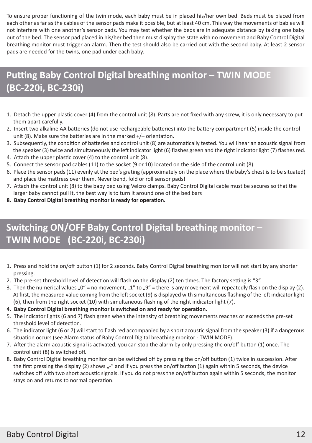To ensure proper functioning of the twin mode, each baby must be in placed his/her own bed. Beds must be placed from each other as far as the cables of the sensor pads make it possible, but at least 40 cm. This way the movements of babies will not interfere with one another's sensor pads. You may test whether the beds are in adequate distance by taking one baby out of the bed. The sensor pad placed in his/her bed then must display the state with no movement and Baby Control Digital breathing monitor must trigger an alarm. Then the test should also be carried out with the second baby. At least 2 sensor pads are needed for the twins, one pad under each baby.

# **Putting Baby Control Digital breathing monitor – TWIN MODE (BC-220i, BC-230i)**

- 1. Detach the upper plastic cover (4) from the control unit (8). Parts are not fixed with any screw, it is only necessary to put them apart carefully.
- 2. Insert two alkaline AA batteries (do not use rechargeable batteries) into the battery compartment (5) inside the control unit (8). Make sure the batteries are in the marked +/– orientation.
- 3. Subsequently, the condition of batteries and control unit (8) are automatically tested. You will hear an acoustic signal from the speaker (3) twice and simultaneously the left indicator light (6) flashes green and the right indicator light (7) flashes red.
- 4. Attach the upper plastic cover (4) to the control unit (8).
- 5. Connect the sensor pad cables (11) to the socket (9 or 10) located on the side of the control unit (8).
- 6. Place the sensor pads (11) evenly at the bed's grating (approximately on the place where the baby's chest is to be situated) and place the mattress over them. Never bend, fold or roll sensor pads!
- 7. Attach the control unit (8) to the baby bed using Velcro clamps. Baby Control Digital cable must be secures so that the larger baby cannot pull it, the best way is to turn it around one of the bed bars
- **8. Baby Control Digital breathing monitor is ready for operation.**

# **Switching ON/OFF Baby Control Digital breathing monitor – TWIN MODE (BC-220i, BC-230i)**

- 1. Press and hold the on/off button (1) for 2 seconds. Baby Control Digital breathing monitor will not start by any shorter pressing.
- 2. The pre-set threshold level of detection will flash on the display (2) ten times. The factory setting is "3".
- 3. Then the numerical values "0" = no movement, "1" to "9" = there is any movement will repeatedly flash on the display (2). At first, the measured value coming from the left socket (9) is displayed with simultaneous flashing of the left indicator light (6), then from the right socket (10) with simultaneous flashing of the right indicator light (7).
- **4. Baby Control Digital breathing monitor is switched on and ready for operation.**
- 5. The indicator lights (6 and 7) flash green when the intensity of breathing movements reaches or exceeds the pre-set threshold level of detection.
- 6. The indicator light (6 or 7) will start to flash red accompanied by a short acoustic signal from the speaker (3) if a dangerous situation occurs (see Alarm status of Baby Control Digital breathing monitor - TWIN MODE).
- 7. After the alarm acoustic signal is activated, you can stop the alarm by only pressing the on/off button (1) once. The control unit (8) is switched off.
- 8. Baby Control Digital breathing monitor can be switched off by pressing the on/off button (1) twice in succession. After the first pressing the display (2) shows  $r''$  and if you press the on/off button (1) again within 5 seconds, the device switches off with two short acoustic signals. If you do not press the on/off button again within 5 seconds, the monitor stays on and returns to normal operation.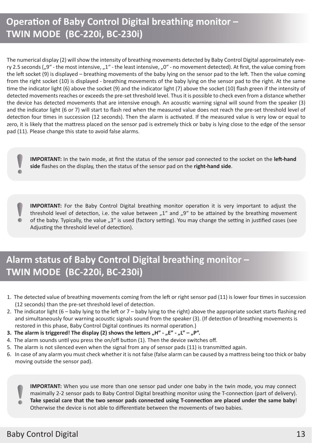# **Operation of Baby Control Digital breathing monitor – TWIN MODE (BC-220i, BC-230i)**

The numerical display (2) will show the intensity of breathing movements detected by Baby Control Digital approximately every 2.5 seconds ("9" - the most intensive, "1" - the least intensive, "0" - no movement detected). At first, the value coming from the left socket (9) is displayed – breathing movements of the baby lying on the sensor pad to the left. Then the value coming from the right socket (10) is displayed - breathing movements of the baby lying on the sensor pad to the right. At the same time the indicator light (6) above the socket (9) and the indicator light (7) above the socket (10) flash green if the intensity of detected movements reaches or exceeds the pre-set threshold level. Thus it is possible to check even from a distance whether the device has detected movements that are intensive enough. An acoustic warning signal will sound from the speaker (3) and the indicator light (6 or 7) will start to flash red when the measured value does not reach the pre-set threshold level of detection four times in succession (12 seconds). Then the alarm is activated. If the measured value is very low or equal to zero, it is likely that the mattress placed on the sensor pad is extremely thick or baby is lying close to the edge of the sensor pad (11). Please change this state to avoid false alarms.

**IMPORTANT:** In the twin mode, at first the status of the sensor pad connected to the socket on the **left-hand side** flashes on the display, then the status of the sensor pad on the **right-hand side**.

**IMPORTANT:** For the Baby Control Digital breathing monitor operation it is very important to adjust the threshold level of detection, i.e. the value between  $n^{\prime}$  and  $n^{\prime}$  to be attained by the breathing movement of the baby. Typically, the value "3" is used (factory setting). You may change the setting in justified cases (see Adjusting the threshold level of detection).

# **Alarm status of Baby Control Digital breathing monitor – TWIN MODE (BC-220i, BC-230i)**

- 1. The detected value of breathing movements coming from the left or right sensor pad (11) is lower four times in succession (12 seconds) than the pre-set threshold level of detection.
- 2. The indicator light (6 baby lying to the left or 7 baby lying to the right) above the appropriate socket starts flashing red and simultaneously four warning acoustic signals sound from the speaker (3). (If detection of breathing movements is restored in this phase, Baby Control Digital continues its normal operation.)
- **3. The alarm is triggered! The display (2) shows the letters "H" "E" "L" "P".**
- 4. The alarm sounds until you press the on/off button (1). Then the device switches off.
- 5. The alarm is not silenced even when the signal from any of sensor pads (11) is transmitted again.
- 6. In case of any alarm you must check whether it is not false (false alarm can be caused by a mattress being too thick or baby moving outside the sensor pad).

**IMPORTANT:** When you use more than one sensor pad under one baby in the twin mode, you may connect maximally 2-2 sensor pads to Baby Control Digital breathing monitor using the T-connection (part of delivery). **Take special care that the two sensor pads connected using T-connection are placed under the same baby**! Otherwise the device is not able to differentiate between the movements of two babies.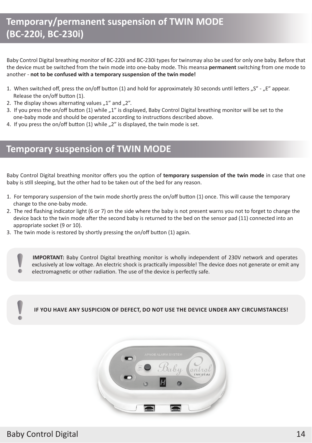## **Temporary/permanent suspension of TWIN MODE (BC-220i, BC-230i)**

Baby Control Digital breathing monitor of BC-220i and BC-230i types for twinsmay also be used for only one baby. Before that the device must be switched from the twin mode into one-baby mode. This meansa **permanent** switching from one mode to another - **not to be confused with a temporary suspension of the twin mode!**

- 1. When switched off, press the on/off button (1) and hold for approximately 30 seconds until letters "S" "E appear. Release the on/off button (1).
- 2. The display shows alternating values  $n1$ " and  $n2$ ".
- 3. If you press the on/off button (1) while "1" is displayed, Baby Control Digital breathing monitor will be set to the one-baby mode and should be operated according to instructions described above.
- 4. If you press the on/off button (1) while ..2" is displayed, the twin mode is set.

### **Temporary suspension of TWIN MODE**

Baby Control Digital breathing monitor offers you the option of **temporary suspension of the twin mode** in case that one baby is still sleeping, but the other had to be taken out of the bed for any reason.

- 1. For temporary suspension of the twin mode shortly press the on/off button (1) once. This will cause the temporary change to the one-baby mode.
- 2. The red flashing indicator light (6 or 7) on the side where the baby is not present warns you not to forget to change the device back to the twin mode after the second baby is returned to the bed on the sensor pad (11) connected into an appropriate socket (9 or 10).
- 3. The twin mode is restored by shortly pressing the on/off button (1) again.

**IMPORTANT:** Baby Control Digital breathing monitor is wholly independent of 230V network and operates exclusively at low voltage. An electric shock is practically impossible! The device does not generate or emit any electromagnetic or other radiation. The use of the device is perfectly safe.

**IF YOU HAVE ANY SUSPICION OF DEFECT, DO NOT USE THE DEVICE UNDER ANY CIRCUMSTANCES!**

![](_page_13_Picture_13.jpeg)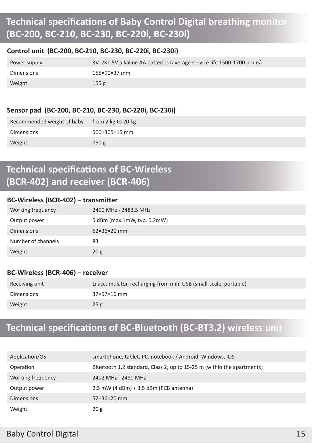# **Technical specifications of Baby Control Digital breathing monitor (BC-200, BC-210, BC-230, BC-220i, BC-230i)**

#### **Control unit (BC-200, BC-210, BC-230, BC-220i, BC-230i)**

| Power supply | 3V, 2×1.5V alkaline AA batteries (average service life 1500-1700 hours) |
|--------------|-------------------------------------------------------------------------|
| Dimensions   | 155×90×37 mm                                                            |
| Weight       | 155 <sub>g</sub>                                                        |

#### **Sensor pad (BC-200, BC-210, BC-230, BC-220i, BC-230i)**

| Recommended weight of baby | from 2 kg to 20 kg |
|----------------------------|--------------------|
| <b>Dimensions</b>          | 500×305×15 mm      |
| Weight                     | 750 g              |

## **Technical specifications of BC-Wireless (BCR-402) and receiver (BCR-406)**

#### **BC-Wireless (BCR-402) – transmitter**

| Working frequency  | 2400 MHz - 2483.5 MHz       |
|--------------------|-----------------------------|
| Output power       | 5 dBm (max 1mW, typ. 0.2mW) |
| <b>Dimensions</b>  | 52×36×20 mm                 |
| Number of channels | 83                          |
| Weight             | 20 <sub>g</sub>             |

#### **BC-Wireless (BCR-406) – receiver**

| Receiving unit    | Li accumulator, recharging from mini USB (small-scale, portable) |
|-------------------|------------------------------------------------------------------|
| <b>Dimensions</b> | $37\times57\times16$ mm                                          |
| Weight            | 25g                                                              |

### **Technical specifications of BC-Bluetooth (BC-BT3.2) wireless unit**

| Application/OS    | smartphone, tablet, PC, notebook / Android, Windows, iOS               |
|-------------------|------------------------------------------------------------------------|
| Operation         | Bluetooth 1.2 standard, Class 2, up to 15-25 m (within the apartments) |
| Working frequency | 2402 MHz - 2480 MHz                                                    |
| Output power      | $2.5$ mW (4 dBm) + 3.5 dBm (PCB antenna)                               |
| <b>Dimensions</b> | $52\times36\times20$ mm                                                |
| Weight            | 20 g                                                                   |

### Baby Control Digital 15